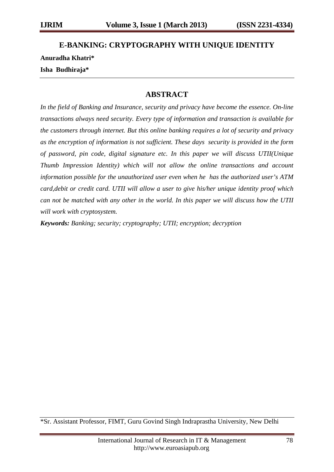# **E-BANKING: CRYPTOGRAPHY WITH UNIQUE IDENTITY Anuradha Khatri\* Isha Budhiraja\***

### **ABSTRACT**

*In the field of Banking and Insurance, security and privacy have become the essence. On-line transactions always need security. Every type of information and transaction is available for the customers through internet. But this online banking requires a lot of security and privacy as the encryption of information is not sufficient. These days security is provided in the form of password, pin code, digital signature etc. In this paper we will discuss UTII(Unique Thumb Impression Identity) which will not allow the online transactions and account information possible for the unauthorized user even when he has the authorized user's ATM card,debit or credit card. UTII will allow a user to give his/her unique identity proof which can not be matched with any other in the world. In this paper we will discuss how the UTII will work with cryptosystem.*

*Keywords: Banking; security; cryptography; UTII; encryption; decryption*

<sup>\*</sup>Sr. Assistant Professor, FIMT, Guru Govind Singh Indraprastha University, New Delhi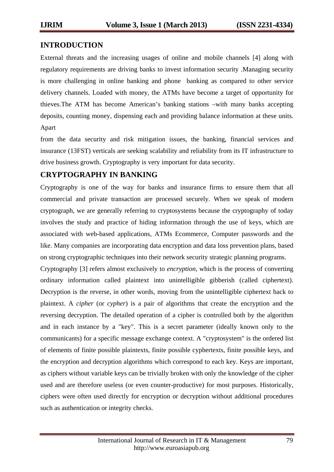### **INTRODUCTION**

External threats and the increasing usages of online and mobile channels [4] along with regulatory requirements are driving banks to invest information security .Managing security is more challenging in online banking and phone banking as compared to other service delivery channels. Loaded with money, the ATMs have become a target of opportunity for thieves.The ATM has become American's banking stations –with many banks accepting deposits, counting money, dispensing each and providing balance information at these units. Apart

from the data security and risk mitigation issues, the banking, financial services and insurance (13FST) verticals are seeking scalability and reliability from its IT infrastructure to drive business growth. Cryptography is very important for data security.

## **CRYPTOGRAPHY IN BANKING**

Cryptography is one of the way for banks and insurance firms to ensure them that all commercial and private transaction are processed securely. When we speak of modern cryptograph, we are generally referring to cryptosystems because the cryptography of today involves the study and practice of hiding information through the use of keys, which are associated with web-based applications, ATMs Ecommerce, Computer passwords and the like. Many companies are incorporating data encryption and data loss prevention plans, based on strong cryptographic techniques into their network security strategic planning programs.

Cryptography [3] refers almost exclusively to *encryption*, which is the process of converting ordinary information called plaintext into unintelligible gibberish (called ciphertext). Decryption is the reverse, in other words, moving from the unintelligible ciphertext back to plaintext. A *cipher* (or *cypher*) is a pair of algorithms that create the encryption and the reversing decryption. The detailed operation of a cipher is controlled both by the algorithm and in each instance by a "key". This is a secret parameter (ideally known only to the communicants) for a specific message exchange context. A "cryptosystem" is the ordered list of elements of finite possible plaintexts, finite possible cyphertexts, finite possible keys, and the encryption and decryption algorithms which correspond to each key. Keys are important, as ciphers without variable keys can be trivially broken with only the knowledge of the cipher used and are therefore useless (or even counter-productive) for most purposes. Historically, ciphers were often used directly for encryption or decryption without additional procedures such as authentication or integrity checks.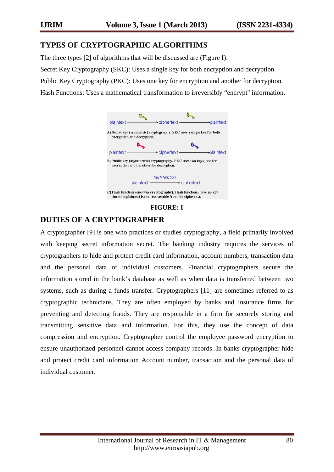### **TYPES OF CRYPTOGRAPHIC ALGORITHMS**

The three types [2] of algorithms that will be discussed are (Figure I):

Secret Key Cryptography (SKC): Uses a single key for both encryption and decryption.

Public Key Cryptography (PKC): Uses one key for encryption and another for decryption.

Hash Functions: Uses a mathematical transformation to irreversibly "encrypt" information.



**FIGURE: I**

## **DUTIES OF A CRYPTOGRAPHER**

A cryptographer [9] is one who practices or studies cryptography, a field primarily involved with keeping secret information secret. The banking industry requires the services of cryptographers to hide and protect credit card information, account numbers, transaction data and the personal data of individual customers. Financial cryptographers secure the information stored in the bank's database as well as when data is transferred between two systems, such as during a funds transfer. Cryptographers [11] are sometimes referred to as cryptographic technicians. They are often employed by banks and insurance firms for preventing and detecting frauds. They are responsible in a firm for securely storing and transmitting sensitive data and information. For this, they use the concept of data compression and encryption. Cryptographer control the employee password encryption to ensure unauthorized personnel cannot access company records. In banks cryptographer hide and protect credit card information Account number, transaction and the personal data of individual customer.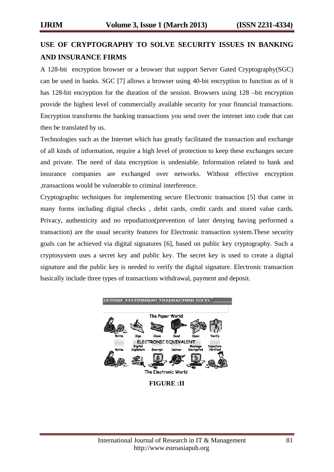## **USE OF CRYPTOGRAPHY TO SOLVE SECURITY ISSUES IN BANKING AND INSURANCE FIRMS**

A 128-bit encryption browser or a browser that support Server Gated Cryptography(SGC) can be used in banks. SGC [7] allows a browser using 40-bit encryption to function as of it has 128-bit encryption for the duration of the session. Browsers using 128 –bit encryption provide the highest level of commercially available security for your financial transactions. Encryption transforms the banking transactions you send over the internet into code that can then be translated by us.

Technologies such as the Internet which has greatly facilitated the transaction and exchange of all kinds of information, require a high level of protection to keep these exchanges secure and private. The need of data encryption is undeniable. Information related to bank and insurance companies are exchanged over networks. Without effective encryption ,transactions would be vulnerable to criminal interference.

Cryptographic techniques for implementing secure Electronic transaction [5] that came in many forms including digital checks , debit cards, credit cards and stored value cards. Privacy, authenticity and no repudiation(prevention of later denying having performed a transaction) are the usual security features for Electronic transaction system.These security goals can be achieved via digital signatures [6], based on public key cryptography. Such a cryptosystem uses a secret key and public key. The secret key is used to create a digital signature and the public key is needed to verify the digital signature. Electronic transaction basically include three types of transactions withdrawal, payment and deposit.



**FIGURE :II**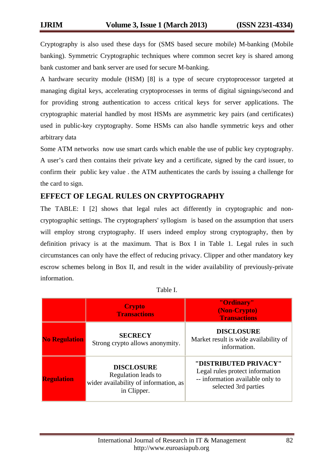Cryptography is also used these days for (SMS based secure mobile) M-banking (Mobile banking). Symmetric Cryptographic techniques where common secret key is shared among bank customer and bank server are used for secure M-banking.

A hardware security module (HSM) [8] is a type of secure cryptoprocessor targeted at managing digital keys, accelerating cryptoprocesses in terms of digital signings/second and for providing strong authentication to access critical keys for server applications. The cryptographic material handled by most HSMs are asymmetric key pairs (and certificates) used in public-key cryptography. Some HSMs can also handle symmetric keys and other arbitrary data

Some ATM networks now use smart cards which enable the use of public key cryptography. A user's card then contains their private key and a certificate, signed by the card issuer, to confirm their public key value . the ATM authenticates the cards by issuing a challenge for the card to sign.

## **EFFECT OF LEGAL RULES ON CRYPTOGRAPHY**

The TABLE: I [2] shows that legal rules act differently in cryptographic and noncryptographic settings. The cryptographers' syllogism is based on the assumption that users will employ strong cryptography. If users indeed employ strong cryptography, then by definition privacy is at the maximum. That is Box I in Table 1. Legal rules in such circumstances can only have the effect of reducing privacy. Clipper and other mandatory key escrow schemes belong in Box II, and result in the wider availability of previously-private information.

|                      | <b>Crypto</b><br><b>Transactions</b>                                                             | "Ordinary"<br>(Non-Crypto)<br><b>Transactions</b>                                                                    |
|----------------------|--------------------------------------------------------------------------------------------------|----------------------------------------------------------------------------------------------------------------------|
| <b>No Regulation</b> | <b>SECRECY</b><br>Strong crypto allows anonymity.                                                | <b>DISCLOSURE</b><br>Market result is wide availability of<br>information.                                           |
| <b>Regulation</b>    | <b>DISCLOSURE</b><br>Regulation leads to<br>wider availability of information, as<br>in Clipper. | "DISTRIBUTED PRIVACY"<br>Legal rules protect information<br>-- information available only to<br>selected 3rd parties |

| л | IDIE |  |
|---|------|--|
|   |      |  |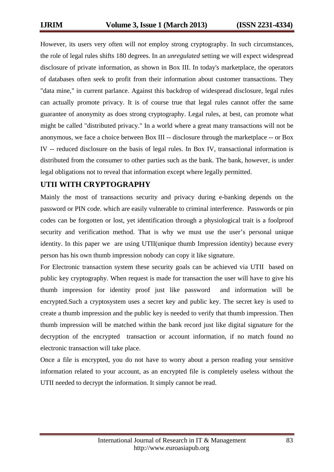However, its users very often will *not* employ strong cryptography. In such circumstances, the role of legal rules shifts 180 degrees. In an *unregulated* setting we will expect widespread disclosure of private information, as shown in Box III. In today's marketplace, the operators of databases often seek to profit from their information about customer transactions. They "data mine," in current parlance. Against this backdrop of widespread disclosure, legal rules can actually promote privacy. It is of course true that legal rules cannot offer the same guarantee of anonymity as does strong cryptography. Legal rules, at best, can promote what might be called "distributed privacy." In a world where a great many transactions will not be anonymous, we face a choice between Box III -- disclosure through the marketplace -- or Box IV -- reduced disclosure on the basis of legal rules. In Box IV, transactional information is distributed from the consumer to other parties such as the bank. The bank, however, is under legal obligations not to reveal that information except where legally permitted.

### **UTII WITH CRYPTOGRAPHY**

Mainly the most of transactions security and privacy during e-banking depends on the password or PIN code. which are easily vulnerable to criminal interference. Passwords or pin codes can be forgotten or lost, yet identification through a physiological trait is a foolproof security and verification method. That is why we must use the user's personal unique identity. In this paper we are using UTII(unique thumb Impression identity) because every person has his own thumb impression nobody can copy it like signature.

For Electronic transaction system these security goals can be achieved via UTII based on public key cryptography. When request is made for transaction the user will have to give his thumb impression for identity proof just like password and information will be encrypted.Such a cryptosystem uses a secret key and public key. The secret key is used to create a thumb impression and the public key is needed to verify that thumb impression. Then thumb impression will be matched within the bank record just like digital signature for the decryption of the encrypted transaction or account information, if no match found no electronic transaction will take place.

Once a file is encrypted, you do not have to worry about a person reading your sensitive information related to your account, as an encrypted file is completely useless without the UTII needed to decrypt the information. It simply cannot be read.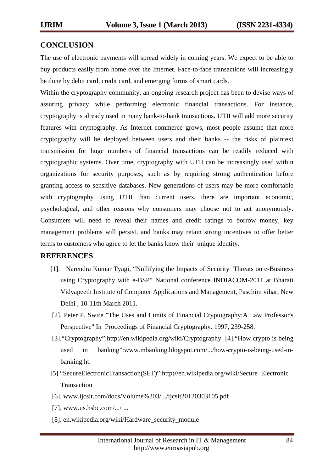#### **CONCLUSION**

The use of electronic payments will spread widely in coming years. We expect to be able to buy products easily from home over the Internet. Face-to-face transactions will increasingly be done by debit card, credit card, and emerging forms of smart cards.

Within the cryptography community, an ongoing research project has been to devise ways of assuring privacy while performing electronic financial transactions. For instance, cryptography is already used in many bank-to-bank transactions. UTII will add more security features with cryptography. As Internet commerce grows, most people assume that more cryptography will be deployed between users and their banks -- the risks of plaintext transmission for huge numbers of financial transactions can be readily reduced with cryptographic systems. Over time, cryptography with UTII can be increasingly used within organizations for security purposes, such as by requiring strong authentication before granting access to sensitive databases. New generations of users may be more comfortable with cryptography using UTII than current users, there are important economic, psychological, and other reasons why consumers may choose not to act anonymously. Consumers will need to reveal their names and credit ratings to borrow money, key management problems will persist, and banks may retain strong incentives to offer better terms to customers who agree to let the banks know their unique identity.

### **REFERENCES**

- [1]. Narendra Kumar Tyagi, "Nullifying the Impacts of Security Threats on e-Business using Cryptography with e-BSP" National conference INDIACOM-2011 at Bharati Vidyapeeth Institute of Computer Applications and Management, Paschim vihar, New Delhi , 10-11th March 2011.
- [2]. Peter P. Swire "The Uses and Limits of Financial Cryptography:A Law Professor's Perspective" In Proceedings of Financial Cryptography. 1997, 239-258.
- [3]."Cryptography":http://en.wikipedia.org/wiki/Cryptography [4]."How crypto is being used in banking":www.mbanking.blogspot.com/.../how-**c**rypto-is-being-used-inbanking.ht.
- [5]."SecureElectronicTransaction(SET)":http**://**en.wikipedia.org/wiki/Secure\_Electronic\_ Transaction
- [6]. www.ijcsit.com/docs/Volume%203/.../ijcsit20120303105.pdf
- [7]. www.us.hsbc.com/.../ ...
- [8]. en.wikipedia.org/wiki/Hardware\_security\_module